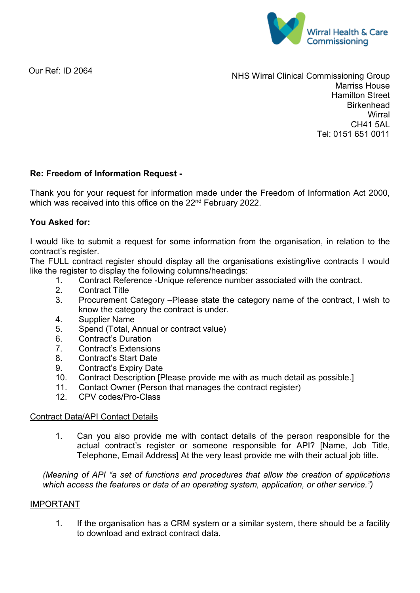

Our Ref: ID 2064

NHS Wirral Clinical Commissioning Group Marriss House Hamilton Street **Birkenhead Wirral** CH41 5AL Tel: 0151 651 0011

# **Re: Freedom of Information Request -**

Thank you for your request for information made under the Freedom of Information Act 2000, which was received into this office on the 22<sup>nd</sup> February 2022.

# **You Asked for:**

I would like to submit a request for some information from the organisation, in relation to the contract's register.

The FULL contract register should display all the organisations existing/live contracts I would like the register to display the following columns/headings:

- 1. Contract Reference -Unique reference number associated with the contract.<br>2. Contract Title
- **Contract Title**
- 3. Procurement Category –Please state the category name of the contract, I wish to know the category the contract is under.
- 4. Supplier Name
- 5. Spend (Total, Annual or contract value)
- 6. Contract's Duration
- 7. Contract's Extensions
- 8. Contract's Start Date
- 9. Contract's Expiry Date
- 10. Contract Description [Please provide me with as much detail as possible.]
- 11. Contact Owner (Person that manages the contract register)<br>12. CPV codes/Pro-Class
- 12. CPV codes/Pro-Class

# Contract Data/API Contact Details

1. Can you also provide me with contact details of the person responsible for the actual contract's register or someone responsible for API? [Name, Job Title, Telephone, Email Address] At the very least provide me with their actual job title.

*(Meaning of API "a set of functions and procedures that allow the creation of applications which access the features or data of an operating system, application, or other service.")*

#### IMPORTANT

1. If the organisation has a CRM system or a similar system, there should be a facility to download and extract contract data.